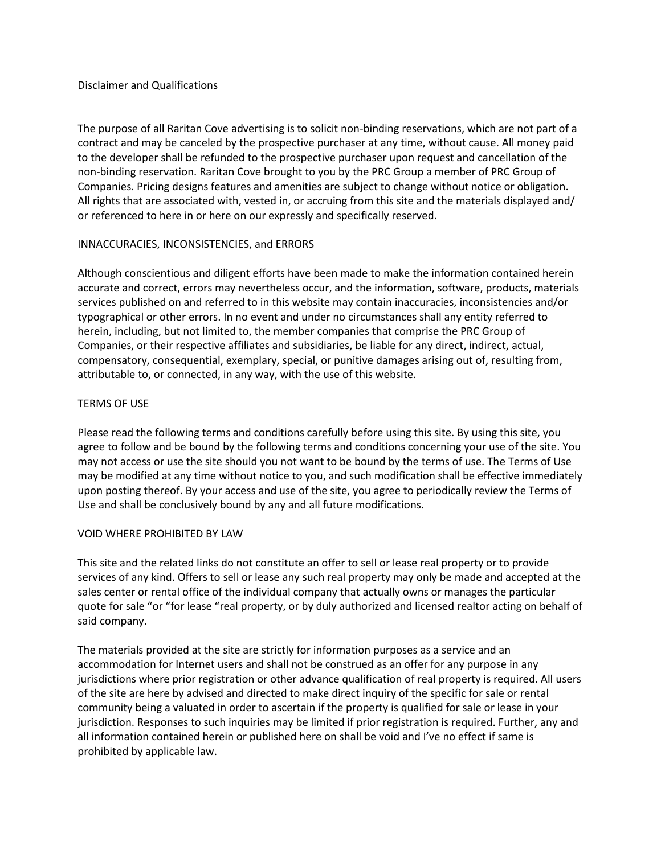#### Disclaimer and Qualifications

The purpose of all Raritan Cove advertising is to solicit non-binding reservations, which are not part of a contract and may be canceled by the prospective purchaser at any time, without cause. All money paid to the developer shall be refunded to the prospective purchaser upon request and cancellation of the non-binding reservation. Raritan Cove brought to you by the PRC Group a member of PRC Group of Companies. Pricing designs features and amenities are subject to change without notice or obligation. All rights that are associated with, vested in, or accruing from this site and the materials displayed and/ or referenced to here in or here on our expressly and specifically reserved.

# INNACCURACIES, INCONSISTENCIES, and ERRORS

Although conscientious and diligent efforts have been made to make the information contained herein accurate and correct, errors may nevertheless occur, and the information, software, products, materials services published on and referred to in this website may contain inaccuracies, inconsistencies and/or typographical or other errors. In no event and under no circumstances shall any entity referred to herein, including, but not limited to, the member companies that comprise the PRC Group of Companies, or their respective affiliates and subsidiaries, be liable for any direct, indirect, actual, compensatory, consequential, exemplary, special, or punitive damages arising out of, resulting from, attributable to, or connected, in any way, with the use of this website.

# TERMS OF USE

Please read the following terms and conditions carefully before using this site. By using this site, you agree to follow and be bound by the following terms and conditions concerning your use of the site. You may not access or use the site should you not want to be bound by the terms of use. The Terms of Use may be modified at any time without notice to you, and such modification shall be effective immediately upon posting thereof. By your access and use of the site, you agree to periodically review the Terms of Use and shall be conclusively bound by any and all future modifications.

# VOID WHERE PROHIBITED BY LAW

This site and the related links do not constitute an offer to sell or lease real property or to provide services of any kind. Offers to sell or lease any such real property may only be made and accepted at the sales center or rental office of the individual company that actually owns or manages the particular quote for sale "or "for lease "real property, or by duly authorized and licensed realtor acting on behalf of said company.

The materials provided at the site are strictly for information purposes as a service and an accommodation for Internet users and shall not be construed as an offer for any purpose in any jurisdictions where prior registration or other advance qualification of real property is required. All users of the site are here by advised and directed to make direct inquiry of the specific for sale or rental community being a valuated in order to ascertain if the property is qualified for sale or lease in your jurisdiction. Responses to such inquiries may be limited if prior registration is required. Further, any and all information contained herein or published here on shall be void and I've no effect if same is prohibited by applicable law.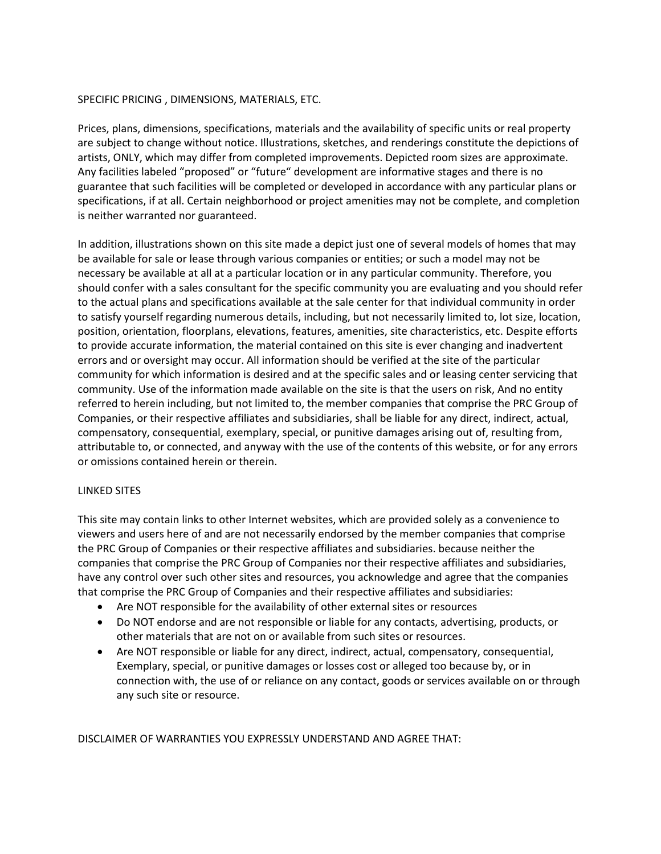#### SPECIFIC PRICING , DIMENSIONS, MATERIALS, ETC.

Prices, plans, dimensions, specifications, materials and the availability of specific units or real property are subject to change without notice. Illustrations, sketches, and renderings constitute the depictions of artists, ONLY, which may differ from completed improvements. Depicted room sizes are approximate. Any facilities labeled "proposed" or "future" development are informative stages and there is no guarantee that such facilities will be completed or developed in accordance with any particular plans or specifications, if at all. Certain neighborhood or project amenities may not be complete, and completion is neither warranted nor guaranteed.

In addition, illustrations shown on this site made a depict just one of several models of homes that may be available for sale or lease through various companies or entities; or such a model may not be necessary be available at all at a particular location or in any particular community. Therefore, you should confer with a sales consultant for the specific community you are evaluating and you should refer to the actual plans and specifications available at the sale center for that individual community in order to satisfy yourself regarding numerous details, including, but not necessarily limited to, lot size, location, position, orientation, floorplans, elevations, features, amenities, site characteristics, etc. Despite efforts to provide accurate information, the material contained on this site is ever changing and inadvertent errors and or oversight may occur. All information should be verified at the site of the particular community for which information is desired and at the specific sales and or leasing center servicing that community. Use of the information made available on the site is that the users on risk, And no entity referred to herein including, but not limited to, the member companies that comprise the PRC Group of Companies, or their respective affiliates and subsidiaries, shall be liable for any direct, indirect, actual, compensatory, consequential, exemplary, special, or punitive damages arising out of, resulting from, attributable to, or connected, and anyway with the use of the contents of this website, or for any errors or omissions contained herein or therein.

#### LINKED SITES

This site may contain links to other Internet websites, which are provided solely as a convenience to viewers and users here of and are not necessarily endorsed by the member companies that comprise the PRC Group of Companies or their respective affiliates and subsidiaries. because neither the companies that comprise the PRC Group of Companies nor their respective affiliates and subsidiaries, have any control over such other sites and resources, you acknowledge and agree that the companies that comprise the PRC Group of Companies and their respective affiliates and subsidiaries:

- Are NOT responsible for the availability of other external sites or resources
- Do NOT endorse and are not responsible or liable for any contacts, advertising, products, or other materials that are not on or available from such sites or resources.
- Are NOT responsible or liable for any direct, indirect, actual, compensatory, consequential, Exemplary, special, or punitive damages or losses cost or alleged too because by, or in connection with, the use of or reliance on any contact, goods or services available on or through any such site or resource.

DISCLAIMER OF WARRANTIES YOU EXPRESSLY UNDERSTAND AND AGREE THAT: